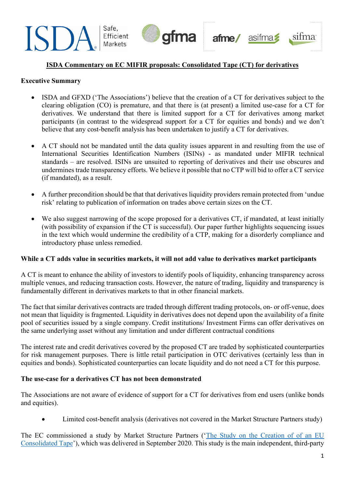

# **ISDA Commentary on EC MIFIR proposals: Consolidated Tape (CT) for derivatives**

#### **Executive Summary**

- ISDA and GFXD ('The Associations') believe that the creation of a CT for derivatives subject to the clearing obligation (CO) is premature, and that there is (at present) a limited use-case for a CT for derivatives. We understand that there is limited support for a CT for derivatives among market participants (in contrast to the widespread support for a CT for equities and bonds) and we don't believe that any cost-benefit analysis has been undertaken to justify a CT for derivatives.
- A CT should not be mandated until the data quality issues apparent in and resulting from the use of International Securities Identification Numbers (ISINs) - as mandated under MIFIR technical standards – are resolved. ISINs are unsuited to reporting of derivatives and their use obscures and undermines trade transparency efforts. We believe it possible that no CTP will bid to offer a CT service (if mandated), as a result.
- A further precondition should be that that derivatives liquidity providers remain protected from 'undue risk' relating to publication of information on trades above certain sizes on the CT.
- We also suggest narrowing of the scope proposed for a derivatives CT, if mandated, at least initially (with possibility of expansion if the CT is successful). Our paper further highlights sequencing issues in the text which would undermine the credibility of a CTP, making for a disorderly compliance and introductory phase unless remedied.

#### **While a CT adds value in securities markets, it will not add value to derivatives market participants**

A CT is meant to enhance the ability of investors to identify pools of liquidity, enhancing transparency across multiple venues, and reducing transaction costs. However, the nature of trading, liquidity and transparency is fundamentally different in derivatives markets to that in other financial markets.

The fact that similar derivatives contracts are traded through different trading protocols, on- or off-venue, does not mean that liquidity is fragmented. Liquidity in derivatives does not depend upon the availability of a finite pool of securities issued by a single company. Credit institutions/ Investment Firms can offer derivatives on the same underlying asset without any limitation and under different contractual conditions

The interest rate and credit derivatives covered by the proposed CT are traded by sophisticated counterparties for risk management purposes. There is little retail participation in OTC derivatives (certainly less than in equities and bonds). Sophisticated counterparties can locate liquidity and do not need a CT for this purpose.

#### **The use-case for a derivatives CT has not been demonstrated**

The Associations are not aware of evidence of support for a CT for derivatives from end users (unlike bonds and equities).

• Limited cost-benefit analysis (derivatives not covered in the Market Structure Partners study)

The EC commissioned a study by Market Structure Partners (['The Study on the Creation of of an EU](https://op.europa.eu/en/publication-detail/-/publication/e6ef0fed-1cbf-11eb-b57e-01aa75ed71a1/language-en/format-PDF/source-search)  [Consolidated Tape'](https://op.europa.eu/en/publication-detail/-/publication/e6ef0fed-1cbf-11eb-b57e-01aa75ed71a1/language-en/format-PDF/source-search)), which was delivered in September 2020. This study is the main independent, third-party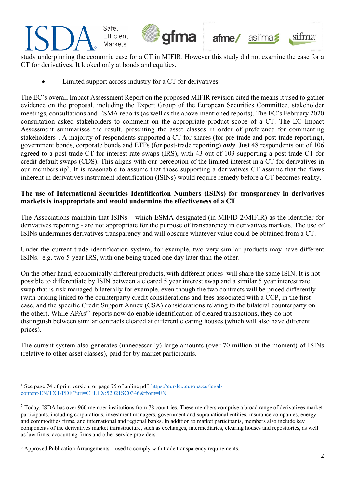

study underpinning the economic case for a CT in MIFIR. However this study did not examine the case for a CT for derivatives. It looked only at bonds and equities.

• Limited support across industry for a CT for derivatives

The EC's overall Impact Assessment Report on the proposed MIFIR revision cited the means it used to gather evidence on the proposal, including the Expert Group of the European Securities Committee, stakeholder meetings, consultations and ESMA reports (as well as the above-mentioned reports). The EC's February 2020 consultation asked stakeholders to comment on the appropriate product scope of a CT. The EC Impact Assessment summarises the result, presenting the asset classes in order of preference for commenting stakeholders<sup>[1](#page-1-0)</sup>. A majority of respondents supported a CT for shares (for pre-trade and post-trade reporting), government bonds, corporate bonds and ETFs (for post-trade reporting) *only*. Just 48 respondents out of 106 agreed to a post-trade CT for interest rate swaps (IRS), with 43 out of 103 supporting a post-trade CT for credit default swaps (CDS). This aligns with our perception of the limited interest in a CT for derivatives in our membership<sup>[2](#page-1-1)</sup>. It is reasonable to assume that those supporting a derivatives CT assume that the flaws inherent in derivatives instrument identification (ISINs) would require remedy before a CT becomes reality.

### **The use of International Securities Identification Numbers (ISINs) for transparency in derivatives markets is inappropriate and would undermine the effectiveness of a CT**

The Associations maintain that ISINs – which ESMA designated (in MIFID 2/MIFIR) as the identifier for derivatives reporting - are not appropriate for the purpose of transparency in derivatives markets. The use of ISINs undermines derivatives transparency and will obscure whatever value could be obtained from a CT.

Under the current trade identification system, for example, two very similar products may have different ISINs. e.g. two 5-year IRS, with one being traded one day later than the other.

On the other hand, economically different products, with different prices will share the same ISIN. It is not possible to differentiate by ISIN between a cleared 5 year interest swap and a similar 5 year interest rate swap that is risk managed bilaterally for example, even though the two contracts will be priced differently (with pricing linked to the counterparty credit considerations and fees associated with a CCP, in the first case, and the specific Credit Support Annex (CSA) considerations relating to the bilateral counterparty on the other). While APAs'[3](#page-1-2) reports now do enable identification of cleared transactions, they do not distinguish between similar contracts cleared at different clearing houses (which will also have different prices).

The current system also generates (unnecessarily) large amounts (over 70 million at the moment) of ISINs (relative to other asset classes), paid for by market participants.

<span id="page-1-0"></span><sup>&</sup>lt;sup>1</sup> See page 74 of print version, or page 75 of online pdf: [https://eur-lex.europa.eu/legal](https://eur-lex.europa.eu/legal-content/EN/TXT/PDF/?uri=CELEX:52021SC0346&from=EN)[content/EN/TXT/PDF/?uri=CELEX:52021SC0346&from=EN](https://eur-lex.europa.eu/legal-content/EN/TXT/PDF/?uri=CELEX:52021SC0346&from=EN)

<span id="page-1-1"></span><sup>&</sup>lt;sup>2</sup> Today, ISDA has over 960 member institutions from 78 countries. These members comprise a broad range of derivatives market participants, including corporations, investment managers, government and supranational entities, insurance companies, energy and commodities firms, and international and regional banks. In addition to market participants, members also include key components of the derivatives market infrastructure, such as exchanges, intermediaries, clearing houses and repositories, as well as law firms, accounting firms and other service providers.

<span id="page-1-2"></span><sup>&</sup>lt;sup>3</sup> Approved Publication Arrangements – used to comply with trade transparency requirements.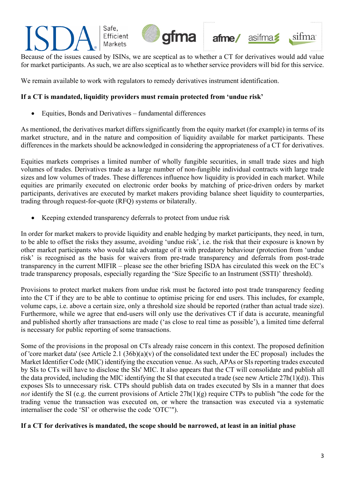

Because of the issues caused by ISINs, we are sceptical as to whether a CT for derivatives would add value for market participants. As such, we are also sceptical as to whether service providers will bid for this service.

We remain available to work with regulators to remedy derivatives instrument identification.

# **If a CT is mandated, liquidity providers must remain protected from 'undue risk'**

• Equities, Bonds and Derivatives – fundamental differences

As mentioned, the derivatives market differs significantly from the equity market (for example) in terms of its market structure, and in the nature and composition of liquidity available for market participants. These differences in the markets should be acknowledged in considering the appropriateness of a CT for derivatives.

Equities markets comprises a limited number of wholly fungible securities, in small trade sizes and high volumes of trades. Derivatives trade as a large number of non-fungible individual contracts with large trade sizes and low volumes of trades. These differences influence how liquidity is provided in each market. While equities are primarily executed on electronic order books by matching of price-driven orders by market participants, derivatives are executed by market makers providing balance sheet liquidity to counterparties, trading through request-for-quote (RFQ) systems or bilaterally.

Keeping extended transparency deferrals to protect from undue risk

In order for market makers to provide liquidity and enable hedging by market participants, they need, in turn, to be able to offset the risks they assume, avoiding 'undue risk', i.e. the risk that their exposure is known by other market participants who would take advantage of it with predatory behaviour (protection from 'undue risk' is recognised as the basis for waivers from pre-trade transparency and deferrals from post-trade transparency in the current MIFIR – please see the other briefing ISDA has circulated this week on the EC's trade transparency proposals, especially regarding the 'Size Specific to an Instrument (SSTI)' threshold).

Provisions to protect market makers from undue risk must be factored into post trade transparency feeding into the CT if they are to be able to continue to optimise pricing for end users. This includes, for example, volume caps, i.e. above a certain size, only a threshold size should be reported (rather than actual trade size). Furthermore, while we agree that end-users will only use the derivatives CT if data is accurate, meaningful and published shortly after transactions are made ('as close to real time as possible'), a limited time deferral is necessary for public reporting of some transactions.

Some of the provisions in the proposal on CTs already raise concern in this context. The proposed definition of 'core market data' (see Article 2.1  $(36b)(a)(v)$  of the consolidated text under the EC proposal) includes the Market Identifier Code (MIC) identifying the execution venue. As such, APAs or SIs reporting trades executed by SIs to CTs will have to disclose the SIs' MIC. It also appears that the CT will consolidate and publish all the data provided, including the MIC identifying the SI that executed a trade (see new Article 27h(1)(d)). This exposes SIs to unnecessary risk. CTPs should publish data on trades executed by SIs in a manner that does *not* identify the SI (e.g. the current provisions of Article 27h(1)(g) require CTPs to publish "the code for the trading venue the transaction was executed on, or where the transaction was executed via a systematic internaliser the code 'SI' or otherwise the code 'OTC'").

#### **If a CT for derivatives is mandated, the scope should be narrowed, at least in an initial phase**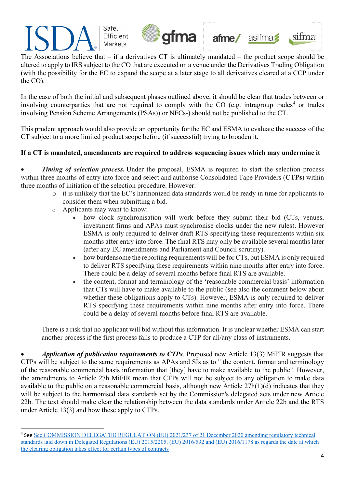

Safe,







The Associations believe that – if a derivatives CT is ultimately mandated – the product scope should be altered to apply to IRS subject to the CO that are executed on a venue under the Derivatives Trading Obligation (with the possibility for the EC to expand the scope at a later stage to all derivatives cleared at a CCP under the CO).

In the case of both the initial and subsequent phases outlined above, it should be clear that trades between or involving counterparties that are not required to comply with the CO (e.g. intragroup trades<sup>[4](#page-3-0)</sup> or trades involving Pension Scheme Arrangements (PSAs)) or NFCs-) should not be published to the CT.

This prudent approach would also provide an opportunity for the EC and ESMA to evaluate the success of the CT subject to a more limited product scope before (if successful) trying to broaden it.

# **If a CT is mandated, amendments are required to address sequencing issues which may undermine it**

**Timing of selection process.** Under the proposal, ESMA is required to start the selection process within three months of entry into force and select and authorise Consolidated Tape Providers (**CTPs**) within three months of initiation of the selection procedure. However:

- o it is unlikely that the EC's harmonized data standards would be ready in time for applicants to consider them when submitting a bid.
- o Applicants may want to know:
	- how clock synchronisation will work before they submit their bid (CTs, venues, investment firms and APAs must synchronise clocks under the new rules). However ESMA is only required to deliver draft RTS specifying these requirements within six months after entry into force. The final RTS may only be available several months later (after any EC amendments and Parliament and Council scrutiny).
	- how burdensome the reporting requirements will be for CTs, but ESMA is only required to deliver RTS specifying these requirements within nine months after entry into force. There could be a delay of several months before final RTS are available.
	- the content, format and terminology of the 'reasonable commercial basis' information that CTs will have to make available to the public (see also the comment below about whether these obligations apply to CTs). However, ESMA is only required to deliver RTS specifying these requirements within nine months after entry into force. There could be a delay of several months before final RTS are available.

There is a risk that no applicant will bid without this information. It is unclear whether ESMA can start another process if the first process fails to produce a CTP for all/any class of instruments.

• *Application of publication requirements to CTPs*. Proposed new Article 13(3) MiFIR suggests that CTPs will be subject to the same requirements as APAs and SIs as to " the content, format and terminology of the reasonable commercial basis information that [they] have to make available to the public". However, the amendments to Article 27h MiFIR mean that CTPs will not be subject to any obligation to make data available to the public on a reasonable commercial basis, although new Article 27h(1)(d) indicates that they will be subject to the harmonised data standards set by the Commission's delegated acts under new Article 22b. The text should make clear the relationship between the data standards under Article 22b and the RTS under Article 13(3) and how these apply to CTPs.

<span id="page-3-0"></span><sup>4</sup> See [See COMMISSION DELEGATED REGULATION \(EU\) 2021/237 of 21 December 2020 amending regulatory technical](https://eur-lex.europa.eu/legal-content/EN/TXT/PDF/?uri=CELEX:32021R0237&from=EN)  [standards laid down in Delegated Regulations \(EU\) 2015/2205, \(EU\) 2016/592 and \(EU\) 2016/1178 as regards the date at which](https://eur-lex.europa.eu/legal-content/EN/TXT/PDF/?uri=CELEX:32021R0237&from=EN)  [the clearing obligation takes effect for certain types of contracts](https://eur-lex.europa.eu/legal-content/EN/TXT/PDF/?uri=CELEX:32021R0237&from=EN)